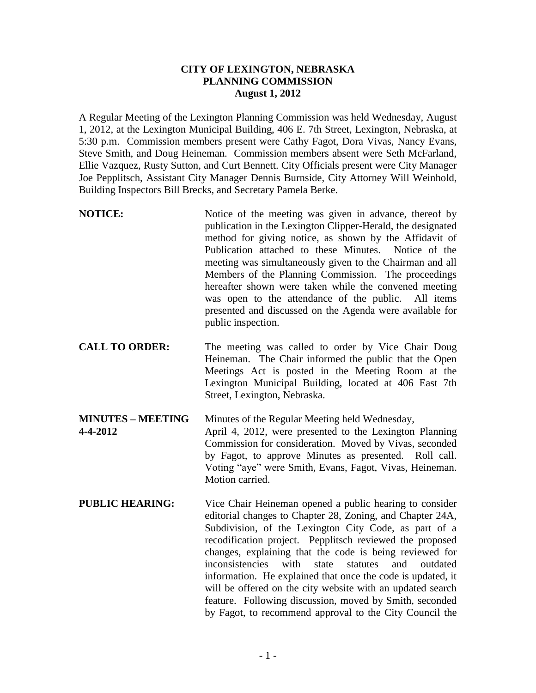## **CITY OF LEXINGTON, NEBRASKA PLANNING COMMISSION August 1, 2012**

A Regular Meeting of the Lexington Planning Commission was held Wednesday, August 1, 2012, at the Lexington Municipal Building, 406 E. 7th Street, Lexington, Nebraska, at 5:30 p.m. Commission members present were Cathy Fagot, Dora Vivas, Nancy Evans, Steve Smith, and Doug Heineman. Commission members absent were Seth McFarland, Ellie Vazquez, Rusty Sutton, and Curt Bennett. City Officials present were City Manager Joe Pepplitsch, Assistant City Manager Dennis Burnside, City Attorney Will Weinhold, Building Inspectors Bill Brecks, and Secretary Pamela Berke.

- **NOTICE:** Notice of the meeting was given in advance, thereof by publication in the Lexington Clipper-Herald, the designated method for giving notice, as shown by the Affidavit of Publication attached to these Minutes. Notice of the meeting was simultaneously given to the Chairman and all Members of the Planning Commission. The proceedings hereafter shown were taken while the convened meeting was open to the attendance of the public. All items presented and discussed on the Agenda were available for public inspection.
- **CALL TO ORDER:** The meeting was called to order by Vice Chair Doug Heineman. The Chair informed the public that the Open Meetings Act is posted in the Meeting Room at the Lexington Municipal Building, located at 406 East 7th Street, Lexington, Nebraska.

**MINUTES – MEETING** Minutes of the Regular Meeting held Wednesday, **4-4-2012** April 4, 2012, were presented to the Lexington Planning Commission for consideration. Moved by Vivas, seconded by Fagot, to approve Minutes as presented. Roll call. Voting "aye" were Smith, Evans, Fagot, Vivas, Heineman. Motion carried.

**PUBLIC HEARING:** Vice Chair Heineman opened a public hearing to consider editorial changes to Chapter 28, Zoning, and Chapter 24A, Subdivision, of the Lexington City Code, as part of a recodification project. Pepplitsch reviewed the proposed changes, explaining that the code is being reviewed for inconsistencies with state statutes and outdated information. He explained that once the code is updated, it will be offered on the city website with an updated search feature. Following discussion, moved by Smith, seconded by Fagot, to recommend approval to the City Council the